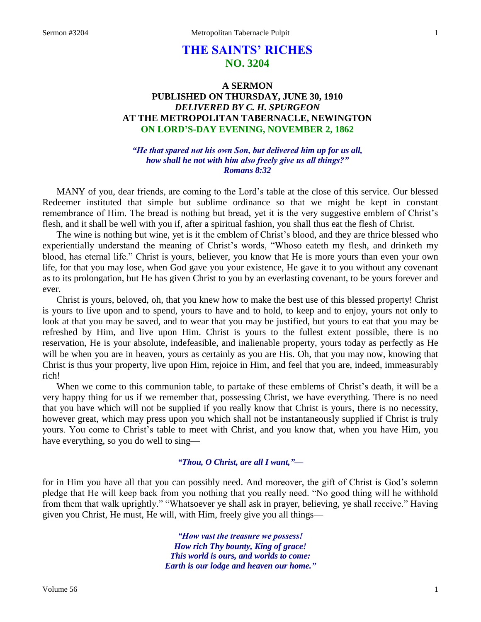# **THE SAINTS' RICHES NO. 3204**

## **A SERMON PUBLISHED ON THURSDAY, JUNE 30, 1910** *DELIVERED BY C. H. SPURGEON* **AT THE METROPOLITAN TABERNACLE, NEWINGTON ON LORD'S-DAY EVENING, NOVEMBER 2, 1862**

*"He that spared not his own Son, but delivered him up for us all, how shall he not with him also freely give us all things?" Romans 8:32*

MANY of you, dear friends, are coming to the Lord's table at the close of this service. Our blessed Redeemer instituted that simple but sublime ordinance so that we might be kept in constant remembrance of Him. The bread is nothing but bread, yet it is the very suggestive emblem of Christ's flesh, and it shall be well with you if, after a spiritual fashion, you shall thus eat the flesh of Christ.

The wine is nothing but wine, yet is it the emblem of Christ's blood, and they are thrice blessed who experientially understand the meaning of Christ's words, "Whoso eateth my flesh, and drinketh my blood, has eternal life." Christ is yours, believer, you know that He is more yours than even your own life, for that you may lose, when God gave you your existence, He gave it to you without any covenant as to its prolongation, but He has given Christ to you by an everlasting covenant, to be yours forever and ever.

Christ is yours, beloved, oh, that you knew how to make the best use of this blessed property! Christ is yours to live upon and to spend, yours to have and to hold, to keep and to enjoy, yours not only to look at that you may be saved, and to wear that you may be justified, but yours to eat that you may be refreshed by Him, and live upon Him. Christ is yours to the fullest extent possible, there is no reservation, He is your absolute, indefeasible, and inalienable property, yours today as perfectly as He will be when you are in heaven, yours as certainly as you are His. Oh, that you may now, knowing that Christ is thus your property, live upon Him, rejoice in Him, and feel that you are, indeed, immeasurably rich!

When we come to this communion table, to partake of these emblems of Christ's death, it will be a very happy thing for us if we remember that, possessing Christ, we have everything. There is no need that you have which will not be supplied if you really know that Christ is yours, there is no necessity, however great, which may press upon you which shall not be instantaneously supplied if Christ is truly yours. You come to Christ's table to meet with Christ, and you know that, when you have Him, you have everything, so you do well to sing—

## *"Thou, O Christ, are all I want,"—*

for in Him you have all that you can possibly need. And moreover, the gift of Christ is God's solemn pledge that He will keep back from you nothing that you really need. "No good thing will he withhold from them that walk uprightly." "Whatsoever ye shall ask in prayer, believing, ye shall receive." Having given you Christ, He must, He will, with Him, freely give you all things—

> *"How vast the treasure we possess! How rich Thy bounty, King of grace! This world is ours, and worlds to come: Earth is our lodge and heaven our home."*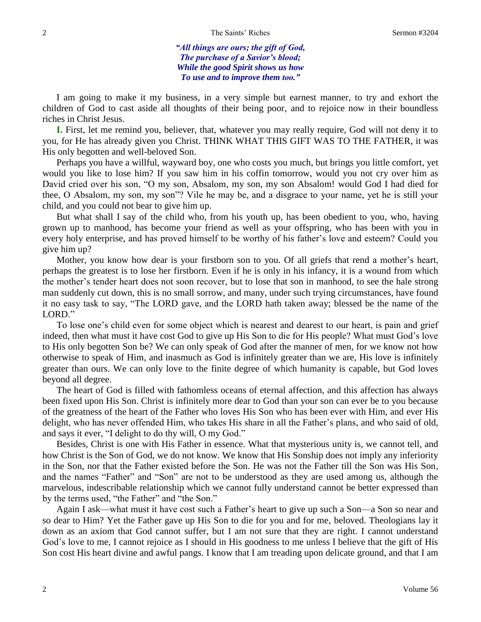*"All things are ours; the gift of God, The purchase of a Savior's blood; While the good Spirit shows us how To use and to improve them too."*

I am going to make it my business, in a very simple but earnest manner, to try and exhort the children of God to cast aside all thoughts of their being poor, and to rejoice now in their boundless riches in Christ Jesus.

**I.** First, let me remind you, believer, that, whatever you may really require, God will not deny it to you, for He has already given you Christ. THINK WHAT THIS GIFT WAS TO THE FATHER, it was His only begotten and well-beloved Son.

Perhaps you have a willful, wayward boy, one who costs you much, but brings you little comfort, yet would you like to lose him? If you saw him in his coffin tomorrow, would you not cry over him as David cried over his son, "O my son, Absalom, my son, my son Absalom! would God I had died for thee, O Absalom, my son, my son"? Vile he may be, and a disgrace to your name, yet he is still your child, and you could not bear to give him up.

But what shall I say of the child who, from his youth up, has been obedient to you, who, having grown up to manhood, has become your friend as well as your offspring, who has been with you in every holy enterprise, and has proved himself to be worthy of his father's love and esteem? Could you give him up?

Mother, you know how dear is your firstborn son to you. Of all griefs that rend a mother's heart, perhaps the greatest is to lose her firstborn. Even if he is only in his infancy, it is a wound from which the mother's tender heart does not soon recover, but to lose that son in manhood, to see the hale strong man suddenly cut down, this is no small sorrow, and many, under such trying circumstances, have found it no easy task to say, "The LORD gave, and the LORD hath taken away; blessed be the name of the LORD."

To lose one's child even for some object which is nearest and dearest to our heart, is pain and grief indeed, then what must it have cost God to give up His Son to die for His people? What must God's love to His only begotten Son be? We can only speak of God after the manner of men, for we know not how otherwise to speak of Him, and inasmuch as God is infinitely greater than we are, His love is infinitely greater than ours. We can only love to the finite degree of which humanity is capable, but God loves beyond all degree.

The heart of God is filled with fathomless oceans of eternal affection, and this affection has always been fixed upon His Son. Christ is infinitely more dear to God than your son can ever be to you because of the greatness of the heart of the Father who loves His Son who has been ever with Him, and ever His delight, who has never offended Him, who takes His share in all the Father's plans, and who said of old, and says it ever, "I delight to do thy will, O my God."

Besides, Christ is one with His Father in essence. What that mysterious unity is, we cannot tell, and how Christ is the Son of God, we do not know. We know that His Sonship does not imply any inferiority in the Son, nor that the Father existed before the Son. He was not the Father till the Son was His Son, and the names "Father" and "Son" are not to be understood as they are used among us, although the marvelous, indescribable relationship which we cannot fully understand cannot be better expressed than by the terms used, "the Father" and "the Son."

Again I ask—what must it have cost such a Father's heart to give up such a Son—a Son so near and so dear to Him? Yet the Father gave up His Son to die for you and for me, beloved. Theologians lay it down as an axiom that God cannot suffer, but I am not sure that they are right. I cannot understand God's love to me, I cannot rejoice as I should in His goodness to me unless I believe that the gift of His Son cost His heart divine and awful pangs. I know that I am treading upon delicate ground, and that I am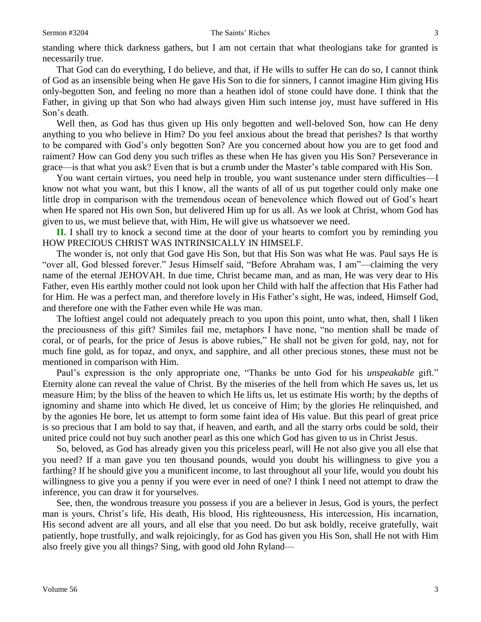standing where thick darkness gathers, but I am not certain that what theologians take for granted is necessarily true.

That God can do everything, I do believe, and that, if He wills to suffer He can do so, I cannot think of God as an insensible being when He gave His Son to die for sinners, I cannot imagine Him giving His only-begotten Son, and feeling no more than a heathen idol of stone could have done. I think that the Father, in giving up that Son who had always given Him such intense joy, must have suffered in His Son's death.

Well then, as God has thus given up His only begotten and well-beloved Son, how can He deny anything to you who believe in Him? Do you feel anxious about the bread that perishes? Is that worthy to be compared with God's only begotten Son? Are you concerned about how you are to get food and raiment? How can God deny you such trifles as these when He has given you His Son? Perseverance in grace—is that what you ask? Even that is but a crumb under the Master's table compared with His Son.

You want certain virtues, you need help in trouble, you want sustenance under stern difficulties—I know not what you want, but this I know, all the wants of all of us put together could only make one little drop in comparison with the tremendous ocean of benevolence which flowed out of God's heart when He spared not His own Son, but delivered Him up for us all. As we look at Christ, whom God has given to us, we must believe that, with Him, He will give us whatsoever we need.

**II.** I shall try to knock a second time at the door of your hearts to comfort you by reminding you HOW PRECIOUS CHRIST WAS INTRINSICALLY IN HIMSELF.

The wonder is, not only that God gave His Son, but that His Son was what He was. Paul says He is "over all, God blessed forever." Jesus Himself said, "Before Abraham was, I am"—claiming the very name of the eternal JEHOVAH. In due time, Christ became man, and as man, He was very dear to His Father, even His earthly mother could not look upon her Child with half the affection that His Father had for Him. He was a perfect man, and therefore lovely in His Father's sight, He was, indeed, Himself God, and therefore one with the Father even while He was man.

The loftiest angel could not adequately preach to you upon this point, unto what, then, shall I liken the preciousness of this gift? Similes fail me, metaphors I have none, "no mention shall be made of coral, or of pearls, for the price of Jesus is above rubies," He shall not be given for gold, nay, not for much fine gold, as for topaz, and onyx, and sapphire, and all other precious stones, these must not be mentioned in comparison with Him.

Paul's expression is the only appropriate one, "Thanks be unto God for his *unspeakable* gift." Eternity alone can reveal the value of Christ. By the miseries of the hell from which He saves us, let us measure Him; by the bliss of the heaven to which He lifts us, let us estimate His worth; by the depths of ignominy and shame into which He dived, let us conceive of Him; by the glories He relinquished, and by the agonies He bore, let us attempt to form some faint idea of His value. But this pearl of great price is so precious that I am bold to say that, if heaven, and earth, and all the starry orbs could be sold, their united price could not buy such another pearl as this one which God has given to us in Christ Jesus.

So, beloved, as God has already given you this priceless pearl, will He not also give you all else that you need? If a man gave you ten thousand pounds, would you doubt his willingness to give you a farthing? If he should give you a munificent income, to last throughout all your life, would you doubt his willingness to give you a penny if you were ever in need of one? I think I need not attempt to draw the inference, you can draw it for yourselves.

See, then, the wondrous treasure you possess if you are a believer in Jesus, God is yours, the perfect man is yours, Christ's life, His death, His blood, His righteousness, His intercession, His incarnation, His second advent are all yours, and all else that you need. Do but ask boldly, receive gratefully, wait patiently, hope trustfully, and walk rejoicingly, for as God has given you His Son, shall He not with Him also freely give you all things? Sing, with good old John Ryland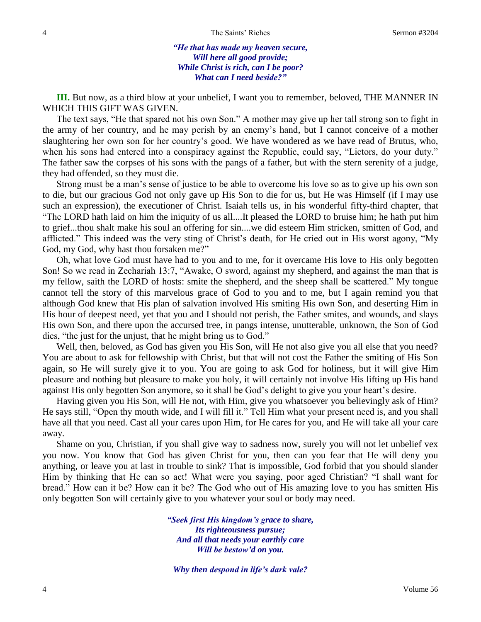*"He that has made my heaven secure, Will here all good provide; While Christ is rich, can I be poor? What can I need beside?"*

**III.** But now, as a third blow at your unbelief, I want you to remember, beloved, THE MANNER IN WHICH THIS GIFT WAS GIVEN.

The text says, "He that spared not his own Son." A mother may give up her tall strong son to fight in the army of her country, and he may perish by an enemy's hand, but I cannot conceive of a mother slaughtering her own son for her country's good. We have wondered as we have read of Brutus, who, when his sons had entered into a conspiracy against the Republic, could say, "Lictors, do your duty." The father saw the corpses of his sons with the pangs of a father, but with the stern serenity of a judge, they had offended, so they must die.

Strong must be a man's sense of justice to be able to overcome his love so as to give up his own son to die, but our gracious God not only gave up His Son to die for us, but He was Himself (if I may use such an expression), the executioner of Christ. Isaiah tells us, in his wonderful fifty-third chapter, that "The LORD hath laid on him the iniquity of us all....It pleased the LORD to bruise him; he hath put him to grief...thou shalt make his soul an offering for sin....we did esteem Him stricken, smitten of God, and afflicted." This indeed was the very sting of Christ's death, for He cried out in His worst agony, "My God, my God, why hast thou forsaken me?"

Oh, what love God must have had to you and to me, for it overcame His love to His only begotten Son! So we read in Zechariah 13:7, "Awake, O sword, against my shepherd, and against the man that is my fellow, saith the LORD of hosts: smite the shepherd, and the sheep shall be scattered." My tongue cannot tell the story of this marvelous grace of God to you and to me, but I again remind you that although God knew that His plan of salvation involved His smiting His own Son, and deserting Him in His hour of deepest need, yet that you and I should not perish, the Father smites, and wounds, and slays His own Son, and there upon the accursed tree, in pangs intense, unutterable, unknown, the Son of God dies, "the just for the unjust, that he might bring us to God."

Well, then, beloved, as God has given you His Son, will He not also give you all else that you need? You are about to ask for fellowship with Christ, but that will not cost the Father the smiting of His Son again, so He will surely give it to you. You are going to ask God for holiness, but it will give Him pleasure and nothing but pleasure to make you holy, it will certainly not involve His lifting up His hand against His only begotten Son anymore, so it shall be God's delight to give you your heart's desire.

Having given you His Son, will He not, with Him, give you whatsoever you believingly ask of Him? He says still, "Open thy mouth wide, and I will fill it." Tell Him what your present need is, and you shall have all that you need. Cast all your cares upon Him, for He cares for you, and He will take all your care away.

Shame on you, Christian, if you shall give way to sadness now, surely you will not let unbelief vex you now. You know that God has given Christ for you, then can you fear that He will deny you anything, or leave you at last in trouble to sink? That is impossible, God forbid that you should slander Him by thinking that He can so act! What were you saying, poor aged Christian? "I shall want for bread." How can it be? How can it be? The God who out of His amazing love to you has smitten His only begotten Son will certainly give to you whatever your soul or body may need.

> *"Seek first His kingdom's grace to share, Its righteousness pursue; And all that needs your earthly care Will be bestow'd on you.*

*Why then despond in life's dark vale?*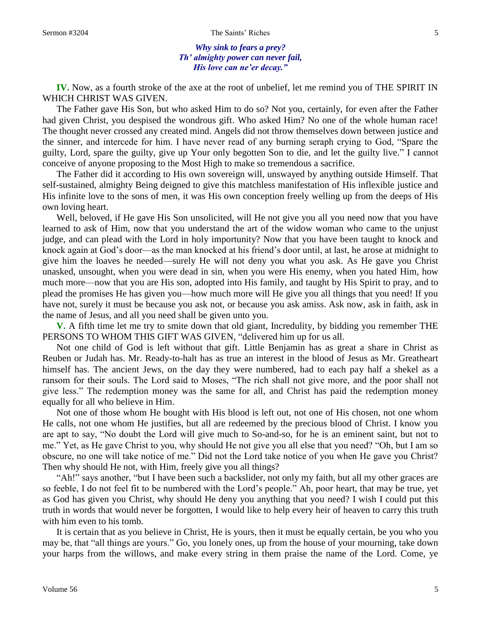### Sermon #3204 The Saints' Riches 5

*Why sink to fears a prey? Th' almighty power can never fail, His love can ne'er decay."*

**IV.** Now, as a fourth stroke of the axe at the root of unbelief, let me remind you of THE SPIRIT IN WHICH CHRIST WAS GIVEN.

The Father gave His Son, but who asked Him to do so? Not you, certainly, for even after the Father had given Christ, you despised the wondrous gift. Who asked Him? No one of the whole human race! The thought never crossed any created mind. Angels did not throw themselves down between justice and the sinner, and intercede for him. I have never read of any burning seraph crying to God, "Spare the guilty, Lord, spare the guilty, give up Your only begotten Son to die, and let the guilty live." I cannot conceive of anyone proposing to the Most High to make so tremendous a sacrifice.

The Father did it according to His own sovereign will, unswayed by anything outside Himself. That self-sustained, almighty Being deigned to give this matchless manifestation of His inflexible justice and His infinite love to the sons of men, it was His own conception freely welling up from the deeps of His own loving heart.

Well, beloved, if He gave His Son unsolicited, will He not give you all you need now that you have learned to ask of Him, now that you understand the art of the widow woman who came to the unjust judge, and can plead with the Lord in holy importunity? Now that you have been taught to knock and knock again at God's door—as the man knocked at his friend's door until, at last, he arose at midnight to give him the loaves he needed—surely He will not deny you what you ask. As He gave you Christ unasked, unsought, when you were dead in sin, when you were His enemy, when you hated Him, how much more—now that you are His son, adopted into His family, and taught by His Spirit to pray, and to plead the promises He has given you—how much more will He give you all things that you need! If you have not, surely it must be because you ask not, or because you ask amiss. Ask now, ask in faith, ask in the name of Jesus, and all you need shall be given unto you.

**V.** A fifth time let me try to smite down that old giant, Incredulity, by bidding you remember THE PERSONS TO WHOM THIS GIFT WAS GIVEN, "delivered him up for us all.

Not one child of God is left without that gift. Little Benjamin has as great a share in Christ as Reuben or Judah has. Mr. Ready-to-halt has as true an interest in the blood of Jesus as Mr. Greatheart himself has. The ancient Jews, on the day they were numbered, had to each pay half a shekel as a ransom for their souls. The Lord said to Moses, "The rich shall not give more, and the poor shall not give less." The redemption money was the same for all, and Christ has paid the redemption money equally for all who believe in Him.

Not one of those whom He bought with His blood is left out, not one of His chosen, not one whom He calls, not one whom He justifies, but all are redeemed by the precious blood of Christ. I know you are apt to say, "No doubt the Lord will give much to So-and-so, for he is an eminent saint, but not to me." Yet, as He gave Christ to you, why should He not give you all else that you need? "Oh, but I am so obscure, no one will take notice of me." Did not the Lord take notice of you when He gave you Christ? Then why should He not, with Him, freely give you all things?

"Ah!" says another, "but I have been such a backslider, not only my faith, but all my other graces are so feeble, I do not feel fit to be numbered with the Lord's people." Ah, poor heart, that may be true, yet as God has given you Christ, why should He deny you anything that you need? I wish I could put this truth in words that would never be forgotten, I would like to help every heir of heaven to carry this truth with him even to his tomb.

It is certain that as you believe in Christ, He is yours, then it must be equally certain, be you who you may be, that "all things are yours." Go, you lonely ones, up from the house of your mourning, take down your harps from the willows, and make every string in them praise the name of the Lord. Come, ye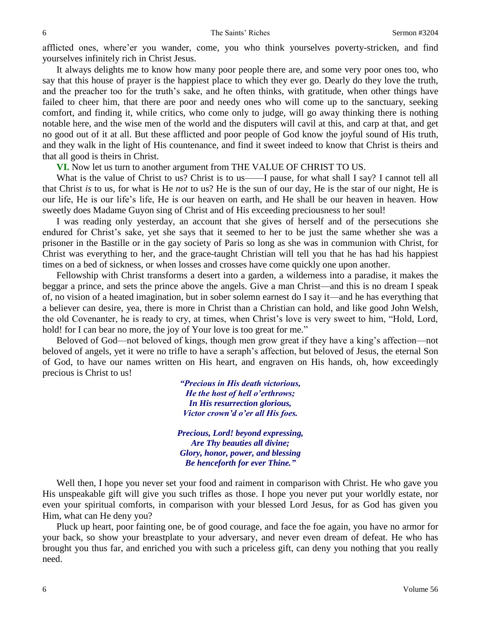afflicted ones, where'er you wander, come, you who think yourselves poverty-stricken, and find yourselves infinitely rich in Christ Jesus.

It always delights me to know how many poor people there are, and some very poor ones too, who say that this house of prayer is the happiest place to which they ever go. Dearly do they love the truth, and the preacher too for the truth's sake, and he often thinks, with gratitude, when other things have failed to cheer him, that there are poor and needy ones who will come up to the sanctuary, seeking comfort, and finding it, while critics, who come only to judge, will go away thinking there is nothing notable here, and the wise men of the world and the disputers will cavil at this, and carp at that, and get no good out of it at all. But these afflicted and poor people of God know the joyful sound of His truth, and they walk in the light of His countenance, and find it sweet indeed to know that Christ is theirs and that all good is theirs in Christ.

**VI.** Now let us turn to another argument from THE VALUE OF CHRIST TO US.

What is the value of Christ to us? Christ is to us——I pause, for what shall I say? I cannot tell all that Christ *is* to us, for what is He *not* to us? He is the sun of our day, He is the star of our night, He is our life, He is our life's life, He is our heaven on earth, and He shall be our heaven in heaven. How sweetly does Madame Guyon sing of Christ and of His exceeding preciousness to her soul!

I was reading only yesterday, an account that she gives of herself and of the persecutions she endured for Christ's sake, yet she says that it seemed to her to be just the same whether she was a prisoner in the Bastille or in the gay society of Paris so long as she was in communion with Christ, for Christ was everything to her, and the grace-taught Christian will tell you that he has had his happiest times on a bed of sickness, or when losses and crosses have come quickly one upon another.

Fellowship with Christ transforms a desert into a garden, a wilderness into a paradise, it makes the beggar a prince, and sets the prince above the angels. Give a man Christ—and this is no dream I speak of, no vision of a heated imagination, but in sober solemn earnest do I say it—and he has everything that a believer can desire, yea, there is more in Christ than a Christian can hold, and like good John Welsh, the old Covenanter, he is ready to cry, at times, when Christ's love is very sweet to him, "Hold, Lord, hold! for I can bear no more, the joy of Your love is too great for me."

Beloved of God—not beloved of kings, though men grow great if they have a king's affection—not beloved of angels, yet it were no trifle to have a seraph's affection, but beloved of Jesus, the eternal Son of God, to have our names written on His heart, and engraven on His hands, oh, how exceedingly precious is Christ to us!

> *"Precious in His death victorious, He the host of hell o'erthrows; In His resurrection glorious, Victor crown'd o'er all His foes.*

*Precious, Lord! beyond expressing, Are Thy beauties all divine; Glory, honor, power, and blessing Be henceforth for ever Thine."*

Well then, I hope you never set your food and raiment in comparison with Christ. He who gave you His unspeakable gift will give you such trifles as those. I hope you never put your worldly estate, nor even your spiritual comforts, in comparison with your blessed Lord Jesus, for as God has given you Him, what can He deny you?

Pluck up heart, poor fainting one, be of good courage, and face the foe again, you have no armor for your back, so show your breastplate to your adversary, and never even dream of defeat. He who has brought you thus far, and enriched you with such a priceless gift, can deny you nothing that you really need.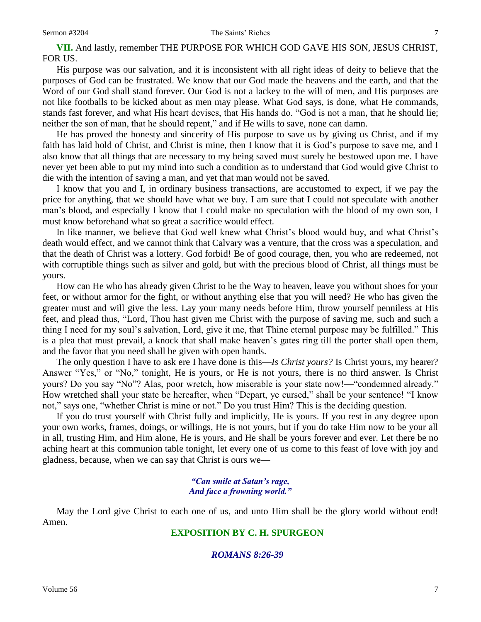**VII.** And lastly, remember THE PURPOSE FOR WHICH GOD GAVE HIS SON, JESUS CHRIST, FOR US.

His purpose was our salvation, and it is inconsistent with all right ideas of deity to believe that the purposes of God can be frustrated. We know that our God made the heavens and the earth, and that the Word of our God shall stand forever. Our God is not a lackey to the will of men, and His purposes are not like footballs to be kicked about as men may please. What God says, is done, what He commands, stands fast forever, and what His heart devises, that His hands do. "God is not a man, that he should lie; neither the son of man, that he should repent," and if He wills to save, none can damn.

He has proved the honesty and sincerity of His purpose to save us by giving us Christ, and if my faith has laid hold of Christ, and Christ is mine, then I know that it is God's purpose to save me, and I also know that all things that are necessary to my being saved must surely be bestowed upon me. I have never yet been able to put my mind into such a condition as to understand that God would give Christ to die with the intention of saving a man, and yet that man would not be saved.

I know that you and I, in ordinary business transactions, are accustomed to expect, if we pay the price for anything, that we should have what we buy. I am sure that I could not speculate with another man's blood, and especially I know that I could make no speculation with the blood of my own son, I must know beforehand what so great a sacrifice would effect.

In like manner, we believe that God well knew what Christ's blood would buy, and what Christ's death would effect, and we cannot think that Calvary was a venture, that the cross was a speculation, and that the death of Christ was a lottery. God forbid! Be of good courage, then, you who are redeemed, not with corruptible things such as silver and gold, but with the precious blood of Christ, all things must be yours.

How can He who has already given Christ to be the Way to heaven, leave you without shoes for your feet, or without armor for the fight, or without anything else that you will need? He who has given the greater must and will give the less. Lay your many needs before Him, throw yourself penniless at His feet, and plead thus, "Lord, Thou hast given me Christ with the purpose of saving me, such and such a thing I need for my soul's salvation, Lord, give it me, that Thine eternal purpose may be fulfilled." This is a plea that must prevail, a knock that shall make heaven's gates ring till the porter shall open them, and the favor that you need shall be given with open hands.

The only question I have to ask ere I have done is this—*Is Christ yours?* Is Christ yours, my hearer? Answer "Yes," or "No," tonight, He is yours, or He is not yours, there is no third answer. Is Christ yours? Do you say "No"? Alas, poor wretch, how miserable is your state now!—"condemned already." How wretched shall your state be hereafter, when "Depart, ye cursed," shall be your sentence! "I know not," says one, "whether Christ is mine or not." Do you trust Him? This is the deciding question.

If you do trust yourself with Christ fully and implicitly, He is yours. If you rest in any degree upon your own works, frames, doings, or willings, He is not yours, but if you do take Him now to be your all in all, trusting Him, and Him alone, He is yours, and He shall be yours forever and ever. Let there be no aching heart at this communion table tonight, let every one of us come to this feast of love with joy and gladness, because, when we can say that Christ is ours we—

## *"Can smile at Satan's rage, And face a frowning world."*

May the Lord give Christ to each one of us, and unto Him shall be the glory world without end! Amen.

## **EXPOSITION BY C. H. SPURGEON**

## *ROMANS 8:26-39*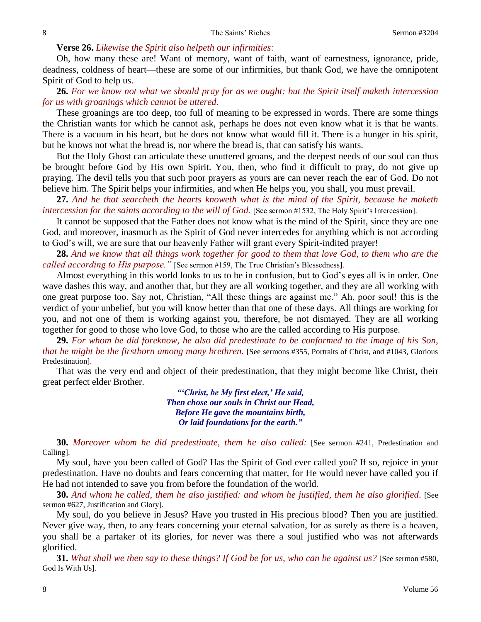## **Verse 26.** *Likewise the Spirit also helpeth our infirmities:*

Oh, how many these are! Want of memory, want of faith, want of earnestness, ignorance, pride, deadness, coldness of heart—these are some of our infirmities, but thank God, we have the omnipotent Spirit of God to help us.

**26.** *For we know not what we should pray for as we ought: but the Spirit itself maketh intercession for us with groanings which cannot be uttered.*

These groanings are too deep, too full of meaning to be expressed in words. There are some things the Christian wants for which he cannot ask, perhaps he does not even know what it is that he wants. There is a vacuum in his heart, but he does not know what would fill it. There is a hunger in his spirit, but he knows not what the bread is, nor where the bread is, that can satisfy his wants.

But the Holy Ghost can articulate these unuttered groans, and the deepest needs of our soul can thus be brought before God by His own Spirit. You, then, who find it difficult to pray, do not give up praying. The devil tells you that such poor prayers as yours are can never reach the ear of God. Do not believe him. The Spirit helps your infirmities, and when He helps you, you shall, you must prevail.

**27.** *And he that searcheth the hearts knoweth what is the mind of the Spirit, because he maketh intercession for the saints according to the will of God.* [See sermon #1532, The Holy Spirit's Intercession].

It cannot be supposed that the Father does not know what is the mind of the Spirit, since they are one God, and moreover, inasmuch as the Spirit of God never intercedes for anything which is not according to God's will, we are sure that our heavenly Father will grant every Spirit-indited prayer!

**28.** *And we know that all things work together for good to them that love God, to them who are the called according to His purpose."* [See sermon #159, The True Christian's Blessedness].

Almost everything in this world looks to us to be in confusion, but to God's eyes all is in order. One wave dashes this way, and another that, but they are all working together, and they are all working with one great purpose too. Say not, Christian, "All these things are against me." Ah, poor soul! this is the verdict of your unbelief, but you will know better than that one of these days. All things are working for you, and not one of them is working against you, therefore, be not dismayed. They are all working together for good to those who love God, to those who are the called according to His purpose.

**29.** *For whom he did foreknow, he also did predestinate to be conformed to the image of his Son, that he might be the firstborn among many brethren.* [See sermons #355, Portraits of Christ, and #1043, Glorious Predestination].

That was the very end and object of their predestination, that they might become like Christ, their great perfect elder Brother.

> *"'Christ, be My first elect,' He said, Then chose our souls in Christ our Head, Before He gave the mountains birth, Or laid foundations for the earth."*

**30.** *Moreover whom he did predestinate, them he also called:* [See sermon #241, Predestination and Calling].

My soul, have you been called of God? Has the Spirit of God ever called you? If so, rejoice in your predestination. Have no doubts and fears concerning that matter, for He would never have called you if He had not intended to save you from before the foundation of the world.

**30.** *And whom he called, them he also justified: and whom he justified, them he also glorified*. [See sermon #627, Justification and Glory].

My soul, do you believe in Jesus? Have you trusted in His precious blood? Then you are justified. Never give way, then, to any fears concerning your eternal salvation, for as surely as there is a heaven, you shall be a partaker of its glories, for never was there a soul justified who was not afterwards glorified.

**31.** *What shall we then say to these things? If God be for us, who can be against us?* [See sermon #580, God Is With Us].